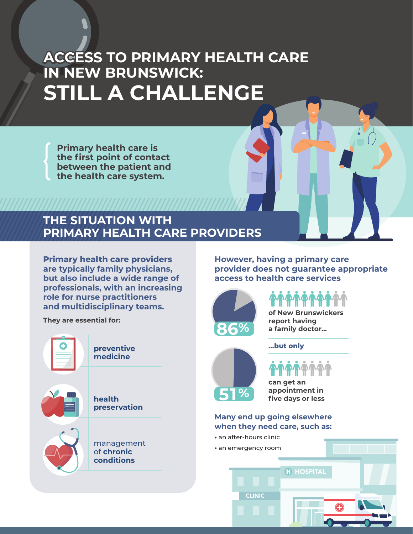# **ACCESS TO PRIMARY HEALTH CARE IN NEW BRUNSWICK: STILL A CHALLENGE**

**Primary health care is the first point of contact between the patient and the health care system.**

### **THE SITUATION WITH PRIMARY HEALTH CARE PROVIDERS**

**Primary health care providers are typically family physicians, but also include a wide range of professionals, with an increasing role for nurse practitioners and multidisciplinary teams.**



**However, having a primary care provider does not guarantee appropriate access to health care services**



**of New Brunswickers report having** 

**a family doctor...**



**...but only**

**can get an appointment in five days or less**

#### **Many end up going elsewhere when they need care, such as:**

- **•** an after-hours clinic
- CLINIC H HOSPITAL **•** an emergency room